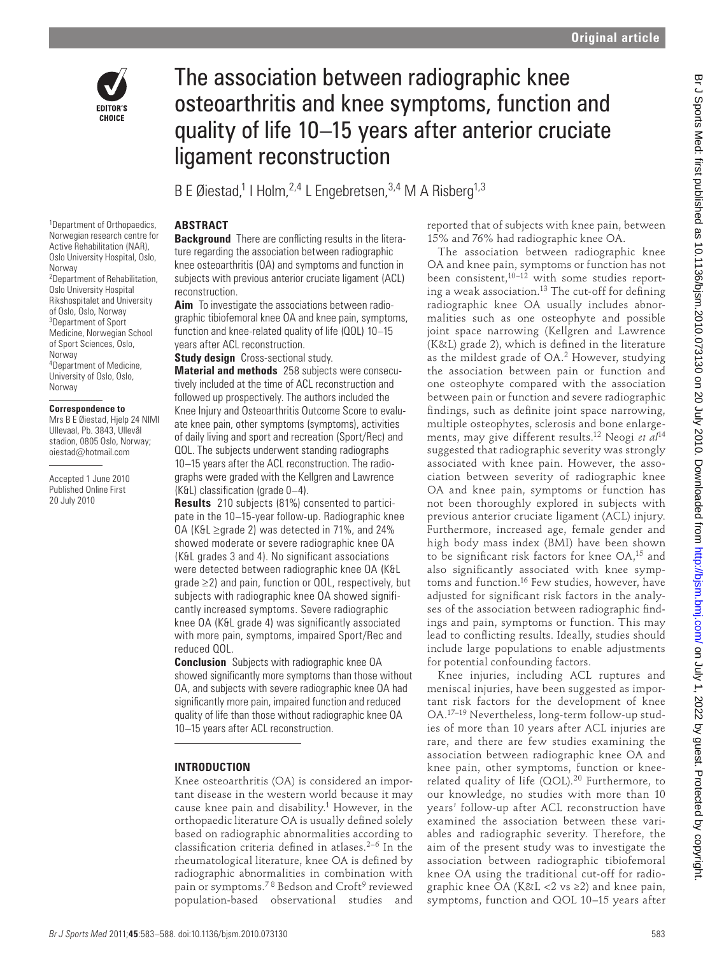

# The association between radiographic knee osteoarthritis and knee symptoms, function and quality of life 10–15 years after anterior cruciate ligament reconstruction

B E Øiestad,<sup>1</sup> I Holm,<sup>2,4</sup> L Engebretsen,<sup>3,4</sup> M A Risberg<sup>1,3</sup>

#### 1 Department of Orthopaedics, Norwegian research centre for Active Rehabilitation (NAR), Oslo University Hospital, Oslo, **Norway** 2Department of Rehabilitation, Oslo University Hospital Rikshospitalet and University of Oslo, Oslo, Norway 3Department of Sport Medicine, Norwegian School of Sport Sciences, Oslo, Norway 4Department of Medicine, University of Oslo, Oslo, Norway

#### **Correspondence to**

Mrs B E Øiestad, Hjelp 24 NIMI Ullevaal, Pb. 3843, Ullevål stadion, 0805 Oslo, Norway; oiestad@hotmail.com

Accepted 1 June 2010 Published Online First 20 July 2010

#### **ABSTRACT**

**Background** There are conflicting results in the literature regarding the association between radiographic knee osteoarthritis (OA) and symptoms and function in subjects with previous anterior cruciate ligament (ACL) reconstruction.

**Aim** To investigate the associations between radiographic tibiofemoral knee OA and knee pain, symptoms, function and knee-related quality of life (QOL) 10–15 years after ACL reconstruction.

**Study design** Cross-sectional study.

**Material and methods** 258 subjects were consecutively included at the time of ACL reconstruction and followed up prospectively. The authors included the Knee Injury and Osteoarthritis Outcome Score to evaluate knee pain, other symptoms (symptoms), activities of daily living and sport and recreation (Sport/Rec) and QOL. The subjects underwent standing radiographs 10–15 years after the ACL reconstruction. The radiographs were graded with the Kellgren and Lawrence  $(KGL)$  classification (grade  $0-4$ ).

**Results** 210 subjects (81%) consented to participate in the 10–15-year follow-up. Radiographic knee OA (K&L ≥grade 2) was detected in 71%, and 24% showed moderate or severe radiographic knee OA (K&L grades 3 and 4). No significant associations were detected between radiographic knee OA (K&L grade ≥2) and pain, function or QOL, respectively, but subjects with radiographic knee OA showed significantly increased symptoms. Severe radiographic knee OA (K&L grade 4) was significantly associated with more pain, symptoms, impaired Sport/Rec and reduced QOL.

**Conclusion** Subjects with radiographic knee OA showed significantly more symptoms than those without OA, and subjects with severe radiographic knee OA had significantly more pain, impaired function and reduced quality of life than those without radiographic knee OA 10–15 years after ACL reconstruction.

#### **INTRODUCTION**

Knee osteoarthritis (OA) is considered an important disease in the western world because it may cause knee pain and disability.1 However, in the orthopaedic literature OA is usually defined solely based on radiographic abnormalities according to classification criteria defined in atlases. $2-6$  In the rheumatological literature, knee OA is defined by radiographic abnormalities in combination with pain or symptoms.<sup>78</sup> Bedson and Croft<sup>9</sup> reviewed population-based observational studies and reported that of subjects with knee pain, between 15% and 76% had radiographic knee OA.

The association between radiographic knee OA and knee pain, symptoms or function has not been consistent, $10-12$  with some studies reporting a weak association.<sup>13</sup> The cut-off for defining radiographic knee OA usually includes abnormalities such as one osteophyte and possible joint space narrowing (Kellgren and Lawrence (K&L) grade 2), which is defined in the literature as the mildest grade of OA.2 However, studying the association between pain or function and one osteophyte compared with the association between pain or function and severe radiographic findings, such as definite joint space narrowing, multiple osteophytes, sclerosis and bone enlargements, may give different results.12 Neogi *et al*<sup>14</sup> suggested that radiographic severity was strongly associated with knee pain. However, the association between severity of radiographic knee OA and knee pain, symptoms or function has not been thoroughly explored in subjects with previous anterior cruciate ligament (ACL) injury. Furthermore, increased age, female gender and high body mass index (BMI) have been shown to be significant risk factors for knee  $OA<sub>1</sub><sup>15</sup>$  and also significantly associated with knee symptoms and function.16 Few studies, however, have adjusted for significant risk factors in the analyses of the association between radiographic findings and pain, symptoms or function. This may lead to conflicting results. Ideally, studies should include large populations to enable adjustments for potential confounding factors. **Conservation of the symptoms** of the symptoms function of the symptoms in the symptoms of the symptoms in the symptoms of the symptoms in the symptoms of the symptoms in the symptoms of the symptoms in the symptoms of th

Knee injuries, including ACL ruptures and meniscal injuries, have been suggested as important risk factors for the development of knee OA.17–19 Nevertheless, long-term follow-up studies of more than 10 years after ACL injuries are rare, and there are few studies examining the association between radiographic knee OA and knee pain, other symptoms, function or kneerelated quality of life (QOL).<sup>20</sup> Furthermore, to our knowledge, no studies with more than 10 years' follow-up after ACL reconstruction have examined the association between these variables and radiographic severity. Therefore, the aim of the present study was to investigate the association between radiographic tibiofemoral knee OA using the traditional cut-off for radiographic knee OA (K&L <2 vs ≥2) and knee pain, symptoms, function and QOL 10–15 years after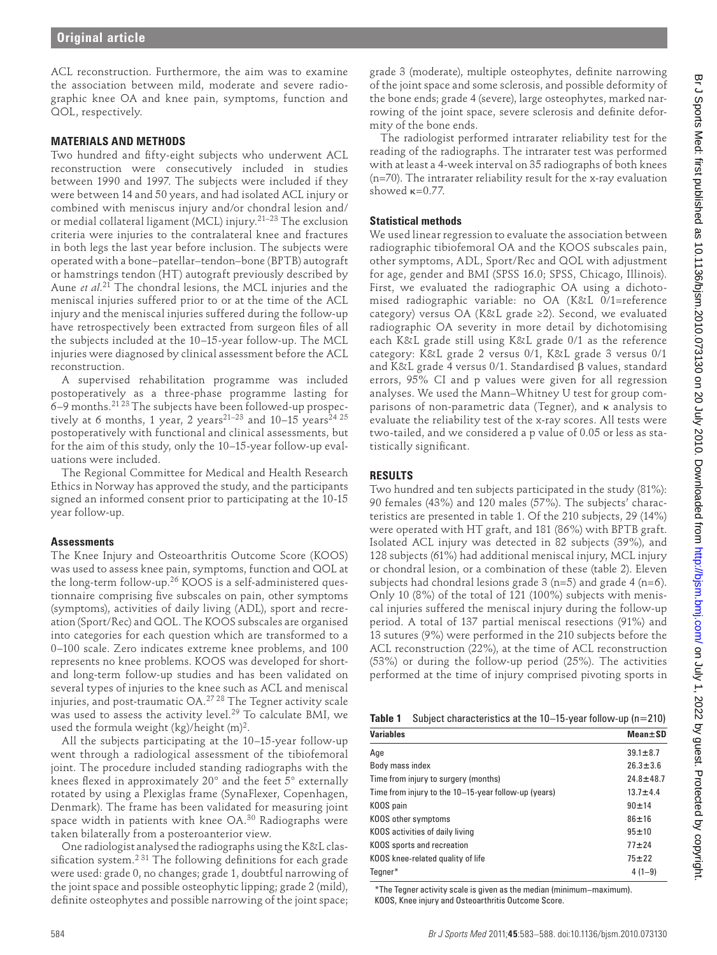ACL reconstruction. Furthermore, the aim was to examine the association between mild, moderate and severe radiographic knee OA and knee pain, symptoms, function and QOL, respectively.

#### **MATERIALS AND METHODS**

Two hundred and fifty-eight subjects who underwent ACL reconstruction were consecutively included in studies between 1990 and 1997. The subjects were included if they were between 14 and 50 years, and had isolated ACL injury or combined with meniscus injury and/or chondral lesion and/ or medial collateral ligament (MCL) injury.21–23 The exclusion criteria were injuries to the contralateral knee and fractures in both legs the last year before inclusion. The subjects were operated with a bone–patellar–tendon–bone (BPTB) autograft or hamstrings tendon (HT) autograft previously described by Aune *et al*. 21 The chondral lesions, the MCL injuries and the meniscal injuries suffered prior to or at the time of the ACL injury and the meniscal injuries suffered during the follow-up have retrospectively been extracted from surgeon files of all the subjects included at the 10–15-year follow-up. The MCL injuries were diagnosed by clinical assessment before the ACL reconstruction. 21. in a model with some main of the state of the state of the state of the state of the state of the state of the state of the state of the state of the state of the state of the state of the state of the state of the

A supervised rehabilitation programme was included postoperatively as a three-phase programme lasting for  $6-9$  months.<sup>2123</sup> The subjects have been followed-up prospectively at 6 months, 1 year, 2 years<sup>21–23</sup> and 10–15 years<sup>24 25</sup> postoperatively with functional and clinical assessments, but for the aim of this study, only the 10–15-year follow-up evaluations were included.

The Regional Committee for Medical and Health Research Ethics in Norway has approved the study, and the participants signed an informed consent prior to participating at the 10-15 year follow-up.

#### **Assessments**

The Knee Injury and Osteoarthritis Outcome Score (KOOS) was used to assess knee pain, symptoms, function and QOL at the long-term follow-up.26 KOOS is a self-administered questionnaire comprising five subscales on pain, other symptoms (symptoms), activities of daily living (ADL), sport and recreation (Sport/Rec) and QOL. The KOOS subscales are organised into categories for each question which are transformed to a 0–100 scale. Zero indicates extreme knee problems, and 100 represents no knee problems. KOOS was developed for shortand long-term follow-up studies and has been validated on several types of injuries to the knee such as ACL and meniscal injuries, and post-traumatic OA.27 28 The Tegner activity scale was used to assess the activity level.29 To calculate BMI, we used the formula weight  $(kg)/height$  (m)<sup>2</sup>.

All the subjects participating at the 10–15-year follow-up went through a radiological assessment of the tibiofemoral joint. The procedure included standing radiographs with the knees flexed in approximately  $20^{\circ}$  and the feet  $5^{\circ}$  externally rotated by using a Plexiglas frame (SynaFlexer, Copenhagen, Denmark). The frame has been validated for measuring joint space width in patients with knee OA.30 Radiographs were taken bilaterally from a posteroanterior view.

One radiologist analysed the radiographs using the K&L classification system.<sup>2 31</sup> The following definitions for each grade were used: grade 0, no changes; grade 1, doubtful narrowing of the joint space and possible osteophytic lipping; grade 2 (mild), definite osteophytes and possible narrowing of the joint space; grade 3 (moderate), multiple osteophytes, definite narrowing of the joint space and some sclerosis, and possible deformity of the bone ends; grade 4 (severe), large osteophytes, marked narrowing of the joint space, severe sclerosis and definite deformity of the bone ends.

The radiologist performed intrarater reliability test for the reading of the radiographs. The intrarater test was performed with at least a 4-week interval on 35 radiographs of both knees (n=70). The intrarater reliability result for the x-ray evaluation showed κ=0.77.

## **Statistical methods**

We used linear regression to evaluate the association between radiographic tibiofemoral OA and the KOOS subscales pain, other symptoms, ADL, Sport/Rec and QOL with adjustment for age, gender and BMI (SPSS 16.0; SPSS, Chicago, Illinois). First, we evaluated the radiographic OA using a dichotomised radiographic variable: no OA (K&L 0/1=reference category) versus OA (K&L grade ≥2). Second, we evaluated radiographic OA severity in more detail by dichotomising each K&L grade still using K&L grade 0/1 as the reference category: K&L grade 2 versus 0/1, K&L grade 3 versus 0/1 and K&L grade 4 versus 0/1. Standardised β values, standard errors, 95% CI and p values were given for all regression analyses. We used the Mann–Whitney U test for group comparisons of non-parametric data (Tegner), and κ analysis to evaluate the reliability test of the x-ray scores. All tests were two-tailed, and we considered a p value of 0.05 or less as statistically significant.

## **RESULTS**

Two hundred and ten subjects participated in the study (81%): 90 females (43%) and 120 males (57%). The subjects' characteristics are presented in table 1. Of the 210 subjects, 29 (14%) were operated with HT graft, and 181 (86%) with BPTB graft. Isolated ACL injury was detected in 82 subjects (39%), and 128 subjects (61%) had additional meniscal injury, MCL injury or chondral lesion, or a combination of these (table 2). Eleven subjects had chondral lesions grade  $3$  (n=5) and grade  $4$  (n=6). Only 10 (8%) of the total of 121 (100%) subjects with meniscal injuries suffered the meniscal injury during the follow-up period. A total of 137 partial meniscal resections (91%) and 13 sutures (9%) were performed in the 210 subjects before the ACL reconstruction (22%), at the time of ACL reconstruction (53%) or during the follow-up period (25%). The activities performed at the time of injury comprised pivoting sports in

|  | Table 1 Subject characteristics at the $10-15$ -year follow-up (n=210) |  |
|--|------------------------------------------------------------------------|--|
|--|------------------------------------------------------------------------|--|

| <b>Variables</b>                                     | $Mean \pm SD$  |  |  |
|------------------------------------------------------|----------------|--|--|
| Age                                                  | $39.1 \pm 8.7$ |  |  |
| Body mass index                                      | $26.3 \pm 3.6$ |  |  |
| Time from injury to surgery (months)                 | $74.8 + 48.7$  |  |  |
| Time from injury to the 10–15-year follow-up (years) | $13.7 + 4.4$   |  |  |
| KOOS pain                                            | $90 + 14$      |  |  |
| KOOS other symptoms                                  | $86 + 16$      |  |  |
| KOOS activities of daily living                      | $95 + 10$      |  |  |
| KOOS sports and recreation                           | $77 + 24$      |  |  |
| KOOS knee-related quality of life                    | $75 + 22$      |  |  |
| Tegner*                                              | $4(1-9)$       |  |  |

\*The Tegner activity scale is given as the median (minimum–maximum). KOOS, Knee injury and Osteoarthritis Outcome Score.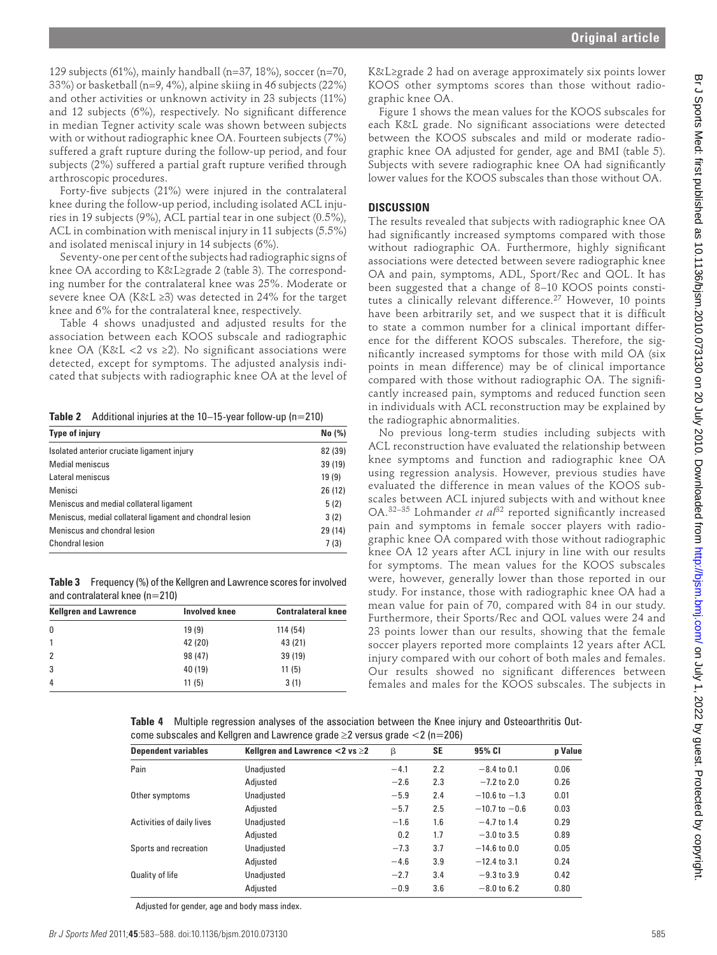129 subjects (61%), mainly handball (n=37, 18%), soccer (n=70, 33%) or basketball (n=9, 4%), alpine skiing in 46 subjects (22%) and other activities or unknown activity in 23 subjects (11%) and 12 subjects  $(6\%)$ , respectively. No significant difference in median Tegner activity scale was shown between subjects with or without radiographic knee OA. Fourteen subjects (7%) suffered a graft rupture during the follow-up period, and four subjects  $(2\%)$  suffered a partial graft rupture verified through arthroscopic procedures.

Forty-five subjects (21%) were injured in the contralateral knee during the follow-up period, including isolated ACL injuries in 19 subjects (9%), ACL partial tear in one subject (0.5%), ACL in combination with meniscal injury in 11 subjects (5.5%) and isolated meniscal injury in 14 subjects (6%).

Seventy-one per cent of the subjects had radiographic signs of knee OA according to K&L≥grade 2 (table 3). The corresponding number for the contralateral knee was 25%. Moderate or severe knee OA (K&L ≥3) was detected in 24% for the target knee and 6% for the contralateral knee, respectively.

Table 4 shows unadjusted and adjusted results for the association between each KOOS subscale and radiographic knee OA (K&L <2 vs  $\geq$ 2). No significant associations were detected, except for symptoms. The adjusted analysis indicated that subjects with radiographic knee OA at the level of

**Table 2** Additional injuries at the 10–15-year follow-up (n=210)

| <b>Type of injury</b>                                    | No (%)  |
|----------------------------------------------------------|---------|
| Isolated anterior cruciate ligament injury               | 82 (39) |
| <b>Medial meniscus</b>                                   | 39 (19) |
| Lateral meniscus                                         | 19(9)   |
| Menisci                                                  | 26 (12) |
| Meniscus and medial collateral ligament                  | 5(2)    |
| Meniscus, medial collateral ligament and chondral lesion | 3(2)    |
| Meniscus and chondral lesion                             | 29 (14) |
| <b>Chondral lesion</b>                                   | 7(3)    |

**Table 3** Frequency (%) of the Kellgren and Lawrence scores for involved and contralateral knee (n=210)

| <b>Kellgren and Lawrence</b> | <b>Involved knee</b> | <b>Contralateral knee</b> |  |  |  |
|------------------------------|----------------------|---------------------------|--|--|--|
| 0                            | 19(9)                | 114 (54)                  |  |  |  |
| 1                            | 42 (20)              | 43 (21)                   |  |  |  |
| 2                            | 98 (47)              | 39 (19)                   |  |  |  |
| 3                            | 40 (19)              | 11(5)                     |  |  |  |
| 4                            | 11(5)                | 3(1)                      |  |  |  |

K&L≥grade 2 had on average approximately six points lower KOOS other symptoms scores than those without radiographic knee OA.

Figure 1 shows the mean values for the KOOS subscales for each K&L grade. No significant associations were detected between the KOOS subscales and mild or moderate radiographic knee OA adjusted for gender, age and BMI (table 5). Subjects with severe radiographic knee OA had significantly lower values for the KOOS subscales than those without OA.

#### **DISCUSSION**

The results revealed that subjects with radiographic knee OA had significantly increased symptoms compared with those without radiographic OA. Furthermore, highly significant associations were detected between severe radiographic knee OA and pain, symptoms, ADL, Sport/Rec and QOL. It has been suggested that a change of 8–10 KOOS points constitutes a clinically relevant difference.<sup>27</sup> However, 10 points have been arbitrarily set, and we suspect that it is difficult to state a common number for a clinical important difference for the different KOOS subscales. Therefore, the significantly increased symptoms for those with mild OA (six points in mean difference) may be of clinical importance compared with those without radiographic OA. The significantly increased pain, symptoms and reduced function seen in individuals with ACL reconstruction may be explained by the radiographic abnormalities.

No previous long-term studies including subjects with ACL reconstruction have evaluated the relationship between knee symptoms and function and radiographic knee OA using regression analysis. However, previous studies have evaluated the difference in mean values of the KOOS subscales between ACL injured subjects with and without knee OA.<sup>32-35</sup> Lohmander *et al*<sup>32</sup> reported significantly increased pain and symptoms in female soccer players with radiographic knee OA compared with those without radiographic knee OA 12 years after ACL injury in line with our results for symptoms. The mean values for the KOOS subscales were, however, generally lower than those reported in our study. For instance, those with radiographic knee OA had a mean value for pain of 70, compared with 84 in our study. Furthermore, their Sports/Rec and QOL values were 24 and 23 points lower than our results, showing that the female soccer players reported more complaints 12 years after ACL injury compared with our cohort of both males and females. Our results showed no significant differences between females and males for the KOOS subscales. The subjects in 19 Ουσικό 2021 - 21 Στουμείου - 21 Στουμείου - 21 Στουμείου - 21 Στουμείου - 21 Στουμείου - 21 Στουμείου - 21 Στουμείου - 21 Στουμείου - 21 Στουμείου - 21 Στουμείου - 21 Στουμείου - 21 Στουμείου - 21 Στουμείου - 21 Στου

**Table 4** Multiple regression analyses of the association between the Knee injury and Osteoarthritis Outcome subscales and Kellgren and Lawrence grade  $\geq 2$  versus grade  $\leq 2$  (n=206)

| <b>Dependent variables</b> | Kellgren and Lawrence $<$ 2 vs $\geq$ 2 | β      | <b>SE</b> | 95% CI            | p Value |
|----------------------------|-----------------------------------------|--------|-----------|-------------------|---------|
| Pain                       | Unadjusted                              | $-4.1$ | 2.2       | $-8.4$ to 0.1     | 0.06    |
|                            | Adjusted                                | $-2.6$ | 2.3       | $-7.2$ to 2.0     | 0.26    |
| Other symptoms             | Unadjusted                              | $-5.9$ | 2.4       | $-10.6$ to $-1.3$ | 0.01    |
|                            | Adjusted                                | $-5.7$ | 2.5       | $-10.7$ to $-0.6$ | 0.03    |
| Activities of daily lives  | Unadjusted                              | $-1.6$ | 1.6       | $-4.7$ to 1.4     | 0.29    |
|                            | Adjusted                                | 0.2    | 1.7       | $-3.0$ to 3.5     | 0.89    |
| Sports and recreation      | Unadjusted                              | $-7.3$ | 3.7       | $-14.6$ to 0.0    | 0.05    |
|                            | Adjusted                                | $-4.6$ | 3.9       | $-12.4$ to 3.1    | 0.24    |
| Quality of life            | Unadjusted                              | $-2.7$ | 3.4       | $-9.3$ to 3.9     | 0.42    |
|                            | Adiusted                                | $-0.9$ | 3.6       | $-8.0$ to 6.2     | 0.80    |

Adjusted for gender, age and body mass index.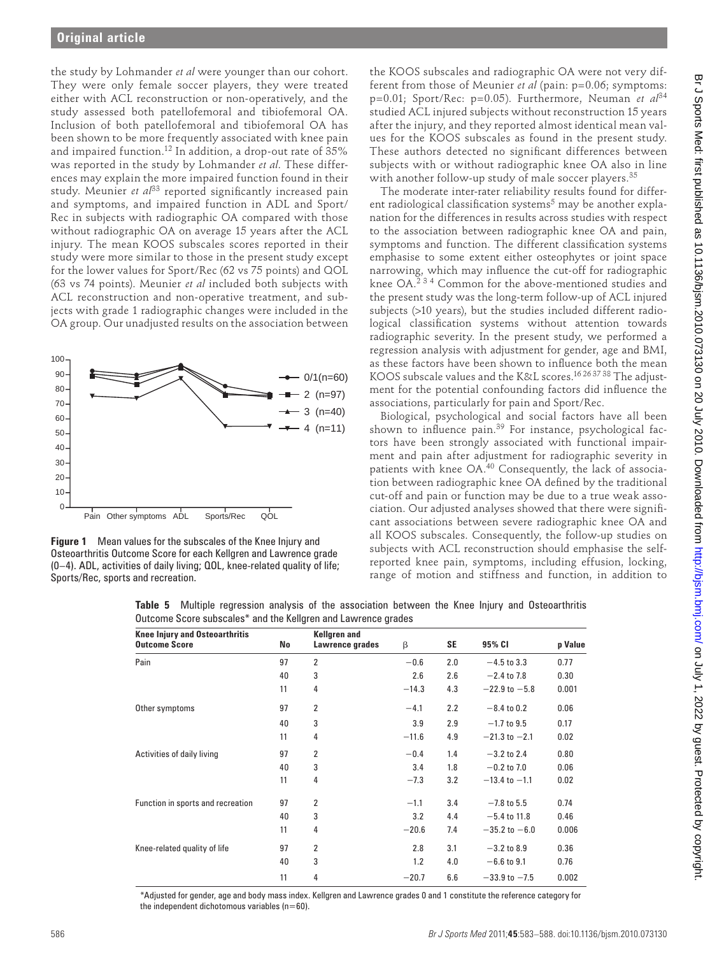

**Figure 1** Mean values for the subscales of the Knee Injury and Osteoarthritis Outcome Score for each Kellgren and Lawrence grade (0–4). ADL, activities of daily living; QOL, knee-related quality of life; Sports/Rec, sports and recreation.

the KOOS subscales and radiographic OA were not very different from those of Meunier *et al* (pain: p=0.06; symptoms: p=0.01; Sport/Rec: p=0.05). Furthermore, Neuman *et al*<sup>34</sup> studied ACL injured subjects without reconstruction 15 years after the injury, and they reported almost identical mean values for the KOOS subscales as found in the present study. These authors detected no significant differences between subjects with or without radiographic knee OA also in line with another follow-up study of male soccer players.<sup>35</sup>

|  |  |  |                                                               |  |  | Table 5 Multiple regression analysis of the association between the Knee Injury and Osteoarthritis |
|--|--|--|---------------------------------------------------------------|--|--|----------------------------------------------------------------------------------------------------|
|  |  |  | Outcome Score subscales* and the Kellgren and Lawrence grades |  |  |                                                                                                    |

|                   | was reported in the study by Lohmander et al. These differ-<br>ences may explain the more impaired function found in their<br>study. Meunier et al <sup>33</sup> reported significantly increased pain<br>and symptoms, and impaired function in ADL and Sport/<br>Rec in subjects with radiographic OA compared with those<br>without radiographic OA on average 15 years after the ACL<br>injury. The mean KOOS subscales scores reported in their |          |                                 |                |            |                                                    | subjects with or without radiographic knee OA also in line<br>with another follow-up study of male soccer players. <sup>35</sup><br>The moderate inter-rater reliability results found for differ- |
|-------------------|------------------------------------------------------------------------------------------------------------------------------------------------------------------------------------------------------------------------------------------------------------------------------------------------------------------------------------------------------------------------------------------------------------------------------------------------------|----------|---------------------------------|----------------|------------|----------------------------------------------------|----------------------------------------------------------------------------------------------------------------------------------------------------------------------------------------------------|
|                   |                                                                                                                                                                                                                                                                                                                                                                                                                                                      |          |                                 |                |            |                                                    |                                                                                                                                                                                                    |
|                   |                                                                                                                                                                                                                                                                                                                                                                                                                                                      |          |                                 |                |            |                                                    |                                                                                                                                                                                                    |
|                   |                                                                                                                                                                                                                                                                                                                                                                                                                                                      |          |                                 |                |            |                                                    | ent radiological classification systems <sup>5</sup> may be another expla-<br>nation for the differences in results across studies with respect                                                    |
|                   |                                                                                                                                                                                                                                                                                                                                                                                                                                                      |          |                                 |                |            |                                                    | to the association between radiographic knee OA and pain,                                                                                                                                          |
|                   |                                                                                                                                                                                                                                                                                                                                                                                                                                                      |          |                                 |                |            |                                                    | symptoms and function. The different classification systems                                                                                                                                        |
|                   | study were more similar to those in the present study except<br>for the lower values for Sport/Rec (62 vs 75 points) and QOL                                                                                                                                                                                                                                                                                                                         |          |                                 |                |            |                                                    | emphasise to some extent either osteophytes or joint space<br>narrowing, which may influence the cut-off for radiographic                                                                          |
|                   | (63 vs 74 points). Meunier et al included both subjects with                                                                                                                                                                                                                                                                                                                                                                                         |          |                                 |                |            |                                                    | knee OA. <sup>234</sup> Common for the above-mentioned studies and                                                                                                                                 |
|                   | ACL reconstruction and non-operative treatment, and sub-<br>jects with grade 1 radiographic changes were included in the                                                                                                                                                                                                                                                                                                                             |          |                                 |                |            |                                                    | the present study was the long-term follow-up of ACL injured<br>subjects (>10 years), but the studies included different radio-                                                                    |
|                   | OA group. Our unadjusted results on the association between                                                                                                                                                                                                                                                                                                                                                                                          |          |                                 |                |            |                                                    | logical classification systems without attention towards<br>radiographic severity. In the present study, we performed a                                                                            |
|                   |                                                                                                                                                                                                                                                                                                                                                                                                                                                      |          |                                 |                |            |                                                    | regression analysis with adjustment for gender, age and BMI,                                                                                                                                       |
| $100 -$<br>$90 -$ |                                                                                                                                                                                                                                                                                                                                                                                                                                                      |          |                                 |                |            |                                                    | as these factors have been shown to influence both the mean<br>KOOS subscale values and the K&L scores. <sup>16 26 37</sup> 38 The adjust-                                                         |
| $80 -$            |                                                                                                                                                                                                                                                                                                                                                                                                                                                      |          | $0/1(n=60)$<br>2 $(n=97)$       |                |            |                                                    | ment for the potential confounding factors did influence the                                                                                                                                       |
| $70-$             |                                                                                                                                                                                                                                                                                                                                                                                                                                                      |          | 3 $(n=40)$                      |                |            | associations, particularly for pain and Sport/Rec. |                                                                                                                                                                                                    |
| $60 -$            |                                                                                                                                                                                                                                                                                                                                                                                                                                                      |          | 4 $(n=11)$                      |                |            |                                                    | Biological, psychological and social factors have all been<br>shown to influence pain. <sup>39</sup> For instance, psychological fac-                                                              |
| $50 -$<br>$40 -$  |                                                                                                                                                                                                                                                                                                                                                                                                                                                      |          |                                 |                |            |                                                    | tors have been strongly associated with functional impair-                                                                                                                                         |
| $30 -$            |                                                                                                                                                                                                                                                                                                                                                                                                                                                      |          |                                 |                |            |                                                    | ment and pain after adjustment for radiographic severity in                                                                                                                                        |
| $20 -$            |                                                                                                                                                                                                                                                                                                                                                                                                                                                      |          |                                 |                |            |                                                    | patients with knee OA. <sup>40</sup> Consequently, the lack of associa-<br>tion between radiographic knee OA defined by the traditional                                                            |
| $10 -$            |                                                                                                                                                                                                                                                                                                                                                                                                                                                      |          |                                 |                |            |                                                    | cut-off and pain or function may be due to a true weak asso-                                                                                                                                       |
| $\boldsymbol{0}$  | Pain Other symptoms ADL<br>Sports/Rec                                                                                                                                                                                                                                                                                                                                                                                                                | QOL      |                                 |                |            |                                                    | ciation. Our adjusted analyses showed that there were signifi-                                                                                                                                     |
|                   | <b>Figure 1</b> Mean values for the subscales of the Knee Injury and                                                                                                                                                                                                                                                                                                                                                                                 |          |                                 |                |            |                                                    | cant associations between severe radiographic knee OA and<br>all KOOS subscales. Consequently, the follow-up studies on                                                                            |
|                   | Osteoarthritis Outcome Score for each Kellgren and Lawrence grade<br>(0-4). ADL, activities of daily living; QOL, knee-related quality of life;<br>Sports/Rec, sports and recreation.                                                                                                                                                                                                                                                                |          |                                 |                |            |                                                    | subjects with ACL reconstruction should emphasise the self-<br>reported knee pain, symptoms, including effusion, locking,<br>range of motion and stiffness and function, in addition to            |
|                   | Table 5 Multiple regression analysis of the association between the Knee Injury and Osteoarthritis<br>Outcome Score subscales* and the Kellgren and Lawrence grades                                                                                                                                                                                                                                                                                  |          |                                 |                |            |                                                    |                                                                                                                                                                                                    |
|                   | <b>Knee Injury and Osteoarthritis</b><br><b>Outcome Score</b>                                                                                                                                                                                                                                                                                                                                                                                        | No       | Kellgren and<br>Lawrence grades | β              | SE         | 95% CI                                             | p Value                                                                                                                                                                                            |
|                   | Pain                                                                                                                                                                                                                                                                                                                                                                                                                                                 | 97       | $\overline{2}$                  | $-0.6$         | 2.0        | $-4.5$ to 3.3                                      | 0.77                                                                                                                                                                                               |
|                   |                                                                                                                                                                                                                                                                                                                                                                                                                                                      | 40<br>11 | 3<br>4                          | 2.6<br>$-14.3$ | 2.6<br>4.3 | $-2.4$ to 7.8<br>$-22.9$ to $-5.8$                 | 0.30<br>0.001                                                                                                                                                                                      |
|                   | Other symptoms                                                                                                                                                                                                                                                                                                                                                                                                                                       | 97       | 2                               | $-4.1$         | 2.2        | $-8.4$ to 0.2                                      | 0.06                                                                                                                                                                                               |
|                   |                                                                                                                                                                                                                                                                                                                                                                                                                                                      | 40       | 3                               | 3.9            | 2.9        | $-1.7$ to 9.5                                      | 0.17                                                                                                                                                                                               |
|                   |                                                                                                                                                                                                                                                                                                                                                                                                                                                      | 11       | 4                               | $-11.6$        | 4.9        | $-21.3$ to $-2.1$                                  | 0.02                                                                                                                                                                                               |
|                   | Activities of daily living                                                                                                                                                                                                                                                                                                                                                                                                                           | 97       | 2                               | $-0.4$         | 1.4        | $-3.2$ to 2.4                                      | 0.80                                                                                                                                                                                               |
|                   |                                                                                                                                                                                                                                                                                                                                                                                                                                                      | 40<br>11 | 3<br>4                          | 3.4<br>$-7.3$  | 1.8<br>3.2 | $-0.2$ to 7.0<br>$-13.4$ to $-1.1$                 | 0.06<br>0.02                                                                                                                                                                                       |
|                   |                                                                                                                                                                                                                                                                                                                                                                                                                                                      |          |                                 |                |            |                                                    |                                                                                                                                                                                                    |
|                   | Function in sports and recreation                                                                                                                                                                                                                                                                                                                                                                                                                    | 97<br>40 | $\overline{2}$<br>3             | $-1.1$<br>3.2  | 3.4<br>4.4 | $-7.8$ to 5.5<br>$-5.4$ to 11.8                    | 0.74<br>0.46                                                                                                                                                                                       |
|                   |                                                                                                                                                                                                                                                                                                                                                                                                                                                      | 11       | 4                               | $-20.6$        | 7.4        | $-35.2$ to $-6.0$                                  | 0.006                                                                                                                                                                                              |
|                   | Knee-related quality of life                                                                                                                                                                                                                                                                                                                                                                                                                         | 97       | 2                               | 2.8            | 3.1        | $-3.2$ to 8.9                                      | 0.36                                                                                                                                                                                               |
|                   |                                                                                                                                                                                                                                                                                                                                                                                                                                                      | 40       | 3                               | 1.2            | 4.0        | $-6.6$ to 9.1                                      | 0.76                                                                                                                                                                                               |
|                   |                                                                                                                                                                                                                                                                                                                                                                                                                                                      |          |                                 |                |            |                                                    |                                                                                                                                                                                                    |
|                   |                                                                                                                                                                                                                                                                                                                                                                                                                                                      | 11       | 4                               | $-20.7$        | 6.6        | $-33.9$ to $-7.5$                                  | 0.002                                                                                                                                                                                              |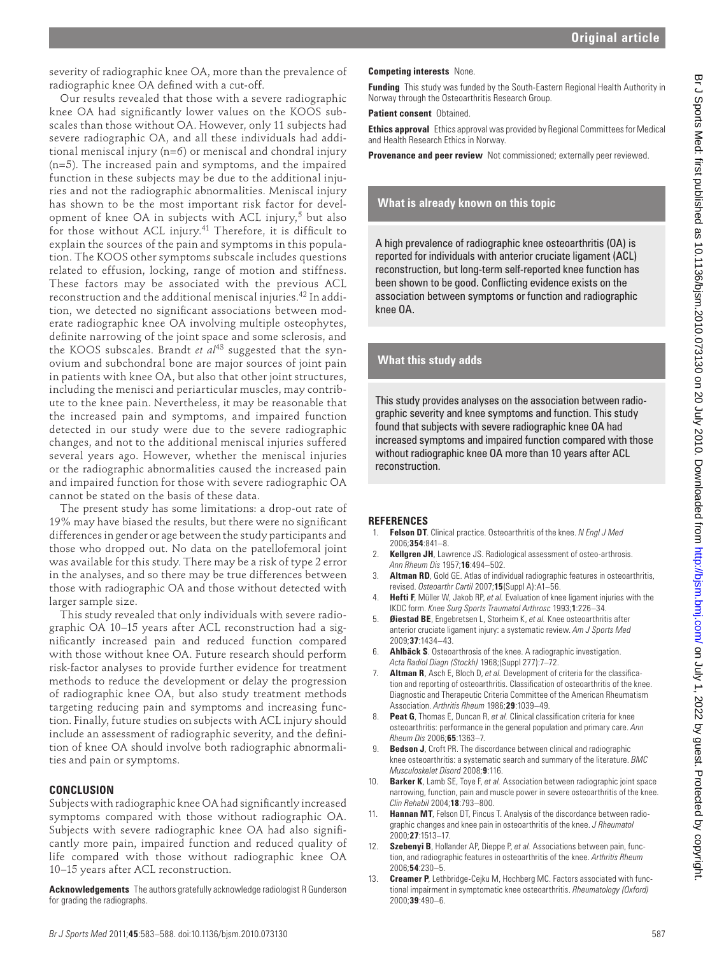severity of radiographic knee OA, more than the prevalence of radiographic knee OA defined with a cut-off.

Our results revealed that those with a severe radiographic knee OA had significantly lower values on the KOOS subscales than those without OA. However, only 11 subjects had severe radiographic OA, and all these individuals had additional meniscal injury (n=6) or meniscal and chondral injury (n=5). The increased pain and symptoms, and the impaired function in these subjects may be due to the additional injuries and not the radiographic abnormalities. Meniscal injury has shown to be the most important risk factor for development of knee OA in subjects with ACL injury,<sup>5</sup> but also for those without ACL injury.<sup>41</sup> Therefore, it is difficult to explain the sources of the pain and symptoms in this population. The KOOS other symptoms subscale includes questions related to effusion, locking, range of motion and stiffness. These factors may be associated with the previous ACL reconstruction and the additional meniscal injuries.42 In addition, we detected no significant associations between moderate radiographic knee OA involving multiple osteophytes, definite narrowing of the joint space and some sclerosis, and the KOOS subscales. Brandt *et al*43 suggested that the synovium and subchondral bone are major sources of joint pain in patients with knee OA, but also that other joint structures, including the menisci and periarticular muscles, may contribute to the knee pain. Nevertheless, it may be reasonable that the increased pain and symptoms, and impaired function detected in our study were due to the severe radiographic changes, and not to the additional meniscal injuries suffered several years ago. However, whether the meniscal injuries or the radiographic abnormalities caused the increased pain and impaired function for those with severe radiographic OA cannot be stated on the basis of these data. 19. index is a control of the sports and the space of the space of the space of the space of the space of the space of the space of the space of the space of the space of the space of the space of the space of the space

The present study has some limitations: a drop-out rate of 19% may have biased the results, but there were no significant differences in gender or age between the study participants and those who dropped out. No data on the patellofemoral joint was available for this study. There may be a risk of type 2 error in the analyses, and so there may be true differences between those with radiographic OA and those without detected with larger sample size.

This study revealed that only individuals with severe radiographic OA 10–15 years after ACL reconstruction had a significantly increased pain and reduced function compared with those without knee OA. Future research should perform risk-factor analyses to provide further evidence for treatment methods to reduce the development or delay the progression of radiographic knee OA, but also study treatment methods targeting reducing pain and symptoms and increasing function. Finally, future studies on subjects with ACL injury should include an assessment of radiographic severity, and the definition of knee OA should involve both radiographic abnormalities and pain or symptoms.

# **CONCLUSION**

Subjects with radiographic knee OA had significantly increased symptoms compared with those without radiographic OA. Subjects with severe radiographic knee OA had also significantly more pain, impaired function and reduced quality of life compared with those without radiographic knee OA 10–15 years after ACL reconstruction.

**Acknowledgements** The authors gratefully acknowledge radiologist R Gunderson for grading the radiographs.

**Funding** This study was funded by the South-Eastern Regional Health Authority in Norway through the Osteoarthritis Research Group.

## **Patient consent** Obtained.

**Ethics approval** Ethics approval was provided by Regional Committees for Medical and Health Research Ethics in Norway.

**Provenance and peer review** Not commissioned; externally peer reviewed.

# **What is already known on this topic**

A high prevalence of radiographic knee osteoarthritis (OA) is reported for individuals with anterior cruciate ligament (ACL) reconstruction, but long-term self-reported knee function has been shown to be good. Conflicting evidence exists on the association between symptoms or function and radiographic knee OA.

# **What this study adds**

This study provides analyses on the association between radiographic severity and knee symptoms and function. This study found that subjects with severe radiographic knee OA had increased symptoms and impaired function compared with those without radiographic knee OA more than 10 years after ACL reconstruction.

# **REFERENCES**

- 1. **Felson DT**. Clinical practice. Osteoarthritis of the knee. *N Engl J Med* 2006;**354**:841–8.
- **Kellgren JH**, Lawrence JS. Radiological assessment of osteo-arthrosis. *Ann Rheum Dis* 1957;**16**:494–502.
- 3. **Altman RD**, Gold GE. Atlas of individual radiographic features in osteoarthritis, revised. *Osteoarthr Cartil* 2007;**15**(Suppl A):A1–56.
- 4. **Hefti F**, Müller W, Jakob RP, *et al.* Evaluation of knee ligament injuries with the IKDC form. *Knee Surg Sports Traumatol Arthrosc* 1993;**1**:226–34.
- 5. **Øiestad BE**, Engebretsen L, Storheim K, *et al.* Knee osteoarthritis after anterior cruciate ligament injury: a systematic review. *Am J Sports Med* 2009;**37**:1434–43.
- 6. **Ahlbäck S**. Osteoarthrosis of the knee. A radiographic investigation. *Acta Radiol Diagn (Stockh)* 1968;(Suppl 277):7–72.
- 7. **Altman R**, Asch E, Bloch D, et al. Development of criteria for the classification and reporting of osteoarthritis. Classification of osteoarthritis of the knee. Diagnostic and Therapeutic Criteria Committee of the American Rheumatism Association. *Arthritis Rheum* 1986;**29**:1039–49.
- 8. **Peat G**, Thomas E, Duncan R, *et al.* Clinical classification criteria for knee osteoarthritis: performance in the general population and primary care. *Ann Rheum Dis* 2006;**65**:1363–7.
- 9. **Bedson J**, Croft PR. The discordance between clinical and radiographic knee osteoarthritis: a systematic search and summary of the literature. *BMC Musculoskelet Disord* 2008;**9**:116.
- 10. **Barker K**, Lamb SE, Toye F, *et al.* Association between radiographic joint space narrowing, function, pain and muscle power in severe osteoarthritis of the knee. *Clin Rehabil* 2004;**18**:793–800.
- 11. **Hannan MT**, Felson DT, Pincus T. Analysis of the discordance between radiographic changes and knee pain in osteoarthritis of the knee. *J Rheumatol* 2000;**27**:1513–17.
- 12. **Szebenyi B**, Hollander AP, Dieppe P, *et al.* Associations between pain, function, and radiographic features in osteoarthritis of the knee. *Arthritis Rheum* 2006;**54**:230–5.
- 13. **Creamer P**, Lethbridge-Cejku M, Hochberg MC. Factors associated with functional impairment in symptomatic knee osteoarthritis. *Rheumatology (Oxford)* 2000;**39**:490–6.